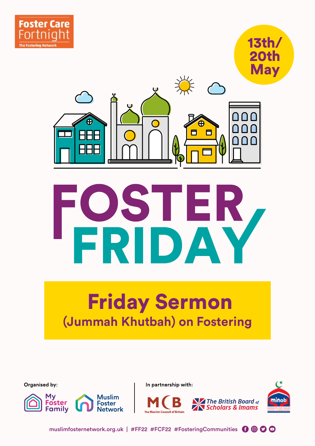



# Friday Sermon **(Jummah Khutbah) on Fostering**

Organised by:

My

**Foster** 

Family

In partnership with:



**Muslim** 

**Network** 

**Foster** 



**NZ** The British Board of<br>**The Scholars & Imams** 

muslimfosternetwork.org.uk | #FF22 #FCF22 #FosteringCommunities 0 0 0 0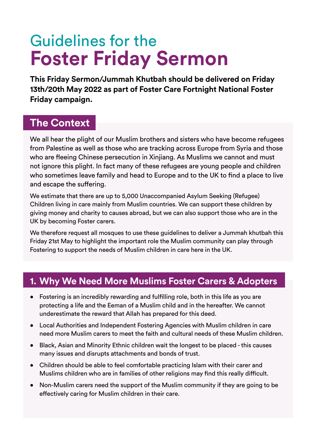# Guidelines for the **Foster Friday Sermon**

**This Friday Sermon/Jummah Khutbah should be delivered on Friday 13th/20th May 2022 as part of Foster Care Fortnight National Foster Friday campaign.**

#### **The Context**

We all hear the plight of our Muslim brothers and sisters who have become refugees from Palestine as well as those who are tracking across Europe from Syria and those who are fleeing Chinese persecution in Xinjiang. As Muslims we cannot and must not ignore this plight. In fact many of these refugees are young people and children who sometimes leave family and head to Europe and to the UK to find a place to live and escape the suffering.

We estimate that there are up to 5,000 Unaccompanied Asylum Seeking (Refugee) Children living in care mainly from Muslim countries. We can support these children by giving money and charity to causes abroad, but we can also support those who are in the UK by becoming Foster carers.

We therefore request all mosques to use these guidelines to deliver a Jummah khutbah this Friday 21st May to highlight the important role the Muslim community can play through Fostering to support the needs of Muslim children in care here in the UK.

# **1. Why We Need More Muslims Foster Carers & Adopters**

- Fostering is an incredibly rewarding and fulfilling role, both in this life as you are protecting a life and the Eeman of a Muslim child and in the hereafter. We cannot underestimate the reward that Allah has prepared for this deed.
- Local Authorities and Independent Fostering Agencies with Muslim children in care need more Muslim carers to meet the faith and cultural needs of these Muslim children.
- Black, Asian and Minority Ethnic children wait the longest to be placed this causes many issues and disrupts attachments and bonds of trust.
- Children should be able to feel comfortable practicing Islam with their carer and Muslims children who are in families of other religions may find this really difficult.
- Non-Muslim carers need the support of the Muslim community if they are going to be effectively caring for Muslim children in their care.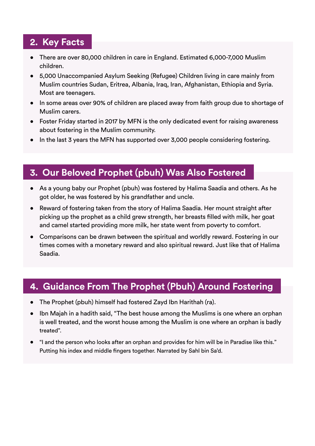#### **2. Key Facts**

- There are over 80,000 children in care in England. Estimated 6,000-7,000 Muslim children.
- 5,000 Unaccompanied Asylum Seeking (Refugee) Children living in care mainly from Muslim countries Sudan, Eritrea, Albania, Iraq, Iran, Afghanistan, Ethiopia and Syria. Most are teenagers.
- In some areas over 90% of children are placed away from faith group due to shortage of Muslim carers.
- Foster Friday started in 2017 by MFN is the only dedicated event for raising awareness about fostering in the Muslim community.
- In the last 3 years the MFN has supported over 3,000 people considering fostering.

### **3. Our Beloved Prophet (pbuh) Was Also Fostered**

- As a young baby our Prophet (pbuh) was fostered by Halima Saadia and others. As he got older, he was fostered by his grandfather and uncle.
- Reward of fostering taken from the story of Halima Saadia. Her mount straight after picking up the prophet as a child grew strength, her breasts filled with milk, her goat and camel started providing more milk, her state went from poverty to comfort.
- Comparisons can be drawn between the spiritual and worldly reward. Fostering in our times comes with a monetary reward and also spiritual reward. Just like that of Halima Saadia.

### **4. Guidance From The Prophet (Pbuh) Around Fostering**

- The Prophet (pbuh) himself had fostered Zayd Ibn Harithah (ra).
- Ibn Majah in a hadith said, "The best house among the Muslims is one where an orphan is well treated, and the worst house among the Muslim is one where an orphan is badly treated".
- "I and the person who looks after an orphan and provides for him will be in Paradise like this." Putting his index and middle fingers together. Narrated by Sahl bin Sa'd.